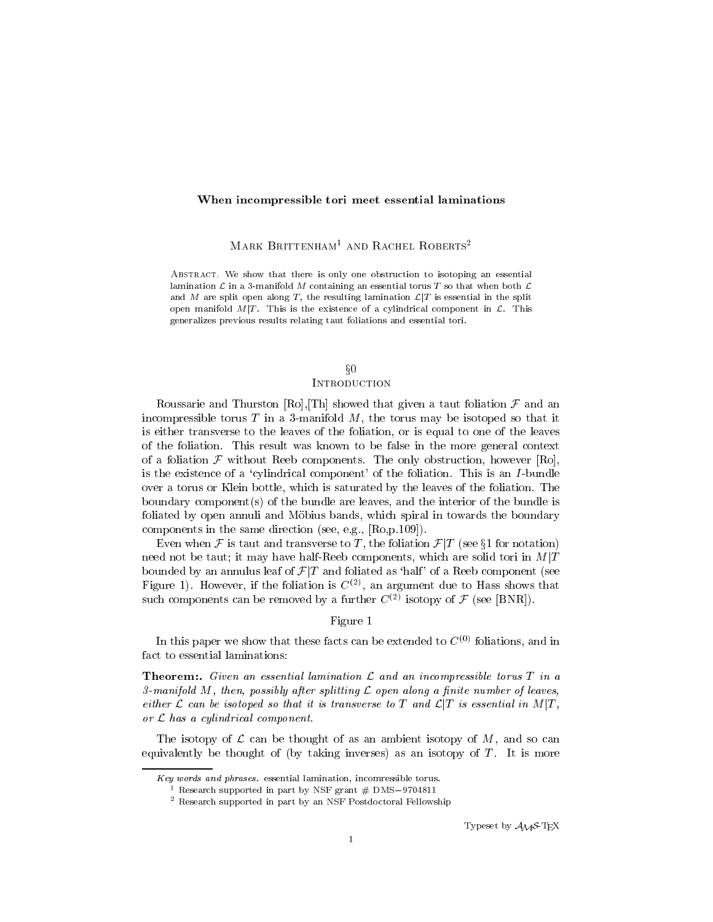### When incompressible tori meet essential laminations

MARK BRITTENHAM<sup>1</sup> AND RACHEL ROBERTS<sup>2</sup>

Abstract. We show that there is only one obstruction to isotoping an essential lamination  $\mathcal L$  in a 3-manifold M containing an essential torus T so that when both  $\mathcal L$ and M are split open along T, the resulting lamination  $\mathcal{L}|T$  is essential in the split open manifold  $M/T$ . This is the existence of a cylindrical component in  $\mathcal{L}$ . This generalizes previous results relating taut foliations and essential tori.

# $\S 0$

# **INTRODUCTION**

Roussarie and Thurston [Ro], [Th] showed that given a taut foliation  $\mathcal F$  and an incompressible torus  $T$  in a 3-manifold  $M$ , the torus may be isotoped so that it is either transverse to the leaves of the foliation, or is equal to one of the leaves of the foliation. This result was known to be false in the more general context of a foliation  $\mathcal F$  without Reeb components. The only obstruction, however [Ro], is the existence of a `cylindrical component' of the foliation. This is an I -bundle over a torus or Klein bottle, which is saturated by the leaves of the foliation. The boundary component(s) of the bundle are leaves, and the interior of the bundle is foliated by open annuli and Mobius bands, which spiral in towards the boundary components in the same direction (see, e.g., [Ro,p.109]).

Even when F is taut and transverse to T, the foliation  $\mathcal{F}/T$  (see §1 for notation) need not be taut; it may have half-Reeb components, which are solid tori in  $M|T$ bounded by an annulus leaf of  $\mathcal{F}/T$  and foliated as 'half' of a Reeb component (see Figure 1). However, if the foliation is  $\mathbb{C}^{\times 2}$ , an argument due to Hass shows that such components can be removed by a further  $C^{(2)}$  isotopy of F (see [BNR]).

## Figure 1

In this paper we show that these facts can be extended to  $C^{(0)}$  foliations, and in fact to essential laminations:

Theorem:. Given an essential lamination L and an incompressible torus <sup>T</sup> in <sup>a</sup> 3-manifold <sup>M</sup>, then, possibly after splitting L open along a nite number of leaves, either  $L$  can be isotoped so that it is transverse to T and  $L|T$  is essential in  $M|T$  , or L has a cylindrical component.

The isotopy of  $\mathcal L$  can be thought of as an ambient isotopy of  $M$ , and so can equivalently be thought of (by taking inverses) as an isotopy of  $T$ . It is more

Key words and phrases. essential lamination, incomressible torus.

research supported in part by NSF grant  $\#$  DMS $-9704811$ 

<sup>2</sup> Research supported in part by an NSF Postdoctoral Fellowship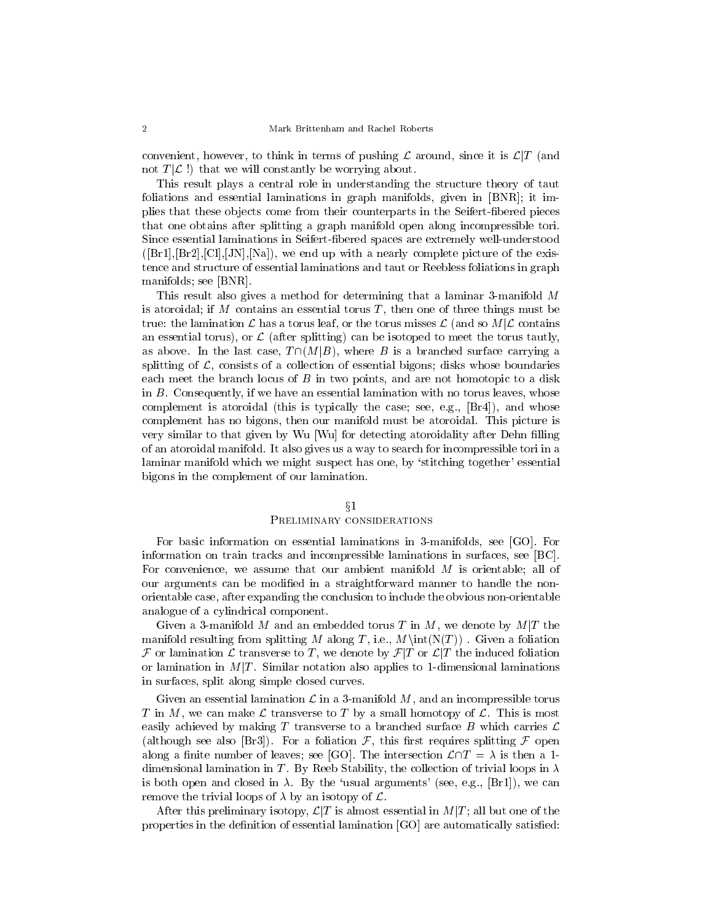convenient, however, to think in terms of pushing  $\mathcal L$  around, since it is  $\mathcal L|T$  (and not  $T[\mathcal{L}]$  that we will constantly be worrying about.

This result plays a central role in understanding the structure theory of taut foliations and essential laminations in graph manifolds, given in [BNR]; it implies that these objects come from their counterparts in the Seifert-fibered pieces that one obtains after splitting a graph manifold open along incompressible tori. Since essential laminations in Seifert-bered spaces are extremely well-understood  $([Br1], [Br2], [Cl], [JN], [Na])$ , we end up with a nearly complete picture of the existence and structure of essential laminations and taut or Reebless foliations in graph manifolds; see [BNR].

This result also gives a method for determining that a laminar 3-manifold M is atoroidal; if M contains an essential torus  $T$ , then one of three things must be true: the lamination L has a torus leaf, or the torus misses L (and so  $M|\mathcal{L}$  contains an essential torus), or  $\mathcal L$  (after splitting) can be isotoped to meet the torus tautly, as above. In the last case,  $T \cap (M|B)$ , where B is a branched surface carrying a splitting of  $\mathcal{L}$ , consists of a collection of essential bigons; disks whose boundaries each meet the branch locus of  $B$  in two points, and are not homotopic to a disk in B. Consequently, if we have an essential lamination with no torus leaves, whose complement is atoroidal (this is typically the case; see, e.g., [Br4]), and whose complement has no bigons, then our manifold must be atoroidal. This picture is very similar to that given by Wu [Wu] for detecting atoroidality after Dehn filling of an atoroidal manifold. It also gives us a way to search for incompressible tori in a laminar manifold which we might suspect has one, by 'stitching together' essential bigons in the complement of our lamination.

#### $\S1$

## Preliminary considerations

For basic information on essential laminations in 3-manifolds, see [GO]. For information on train tracks and incompressible laminations in surfaces, see [BC]. For convenience, we assume that our ambient manifold M is orientable; all of our arguments can be modified in a straightforward manner to handle the nonorientable case, after expanding the conclusion to include the obvious non-orientable analogue of a cylindrical component.

Given a 3-manifold M and an embedded torus T in M, we denote by  $M|T$  the manifold resulting from splitting M along T, i.e.,  $M\int(N(T))$ . Given a foliation F or lamination L transverse to T, we denote by  $\mathcal{F}|T$  or  $\mathcal{L}|T$  the induced foliation or lamination in  $M/T$ . Similar notation also applies to 1-dimensional laminations in surfaces, split along simple closed curves.

Given an essential lamination  $\mathcal L$  in a 3-manifold M, and an incompressible torus T in M, we can make L transverse to T by a small homotopy of L. This is most easily achieved by making T transverse to a branched surface B which carries  $\mathcal L$ (although see also [Br3]). For a foliation  $\mathcal{F}$ , this first requires splitting  $\mathcal F$  open along a finite number of leaves; see [GO]. The intersection  $\mathcal{L}\cap T = \lambda$  is then a 1dimensional lamination in T. By Reeb Stability, the collection of trivial loops in  $\lambda$ is both open and closed in  $\lambda$ . By the 'usual arguments' (see, e.g., [Br1]), we can remove the trivial loops of  $\lambda$  by an isotopy of  $\mathcal{L}$ .

After this preliminary isotopy,  $\mathcal{L}(T)$  is almost essential in  $M(T)$ ; all but one of the properties in the definition of essential lamination [GO] are automatically satisfied: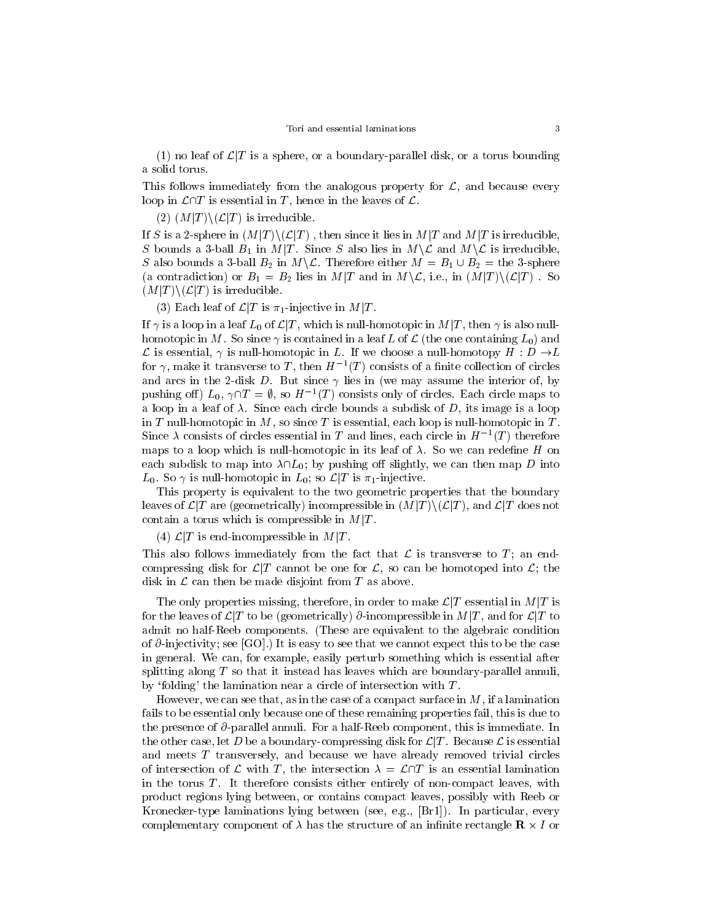(1) no leaf of  $\mathcal{L}|T$  is a sphere, or a boundary-parallel disk, or a torus bounding a solid torus.

This follows immediately from the analogous property for  $\mathcal{L}$ , and because every loop in  $\mathcal{L}\cap T$  is essential in T, hence in the leaves of  $\mathcal{L}$ .

(2)  $(M|T)\setminus (\mathcal{L}|T)$  is irreducible.

If S is a 2-sphere in  $(M|T) \setminus (\mathcal{L}|T)$ , then since it lies in  $M|T$  and  $M|T$  is irreducible, S bounds a 3-ball  $B_1$  in  $M/T$ . Since S also lies in  $M\setminus\mathcal{L}$  and  $M\setminus\mathcal{L}$  is irreducible, S also bounds a 3-ball  $B_2$  in  $M\backslash\mathcal{L}$ . Therefore either  $M = B_1 \cup B_2 =$  the 3-sphere (a contradiction) or  $B_1 = B_2$  lies in  $M/T$  and in  $M\setminus\mathcal{L}$ , i.e., in  $(M/T)\setminus(\mathcal{L}|T)$ . So  $(M|T) \setminus (\mathcal{L}|T)$  is irreducible.

(3) Each leaf of  $\mathcal{L}|T$  is  $\pi_1$ -injective in  $M|T$ .

If  $\gamma$  is a loop in a leaf  $L_0$  of  $\mathcal{L}|T$ , which is null-homotopic in  $M|T$ , then  $\gamma$  is also nullhomotopic in M. So since  $\gamma$  is contained in a leaf L of L (the one containing  $L_0$ ) and L is essential,  $\gamma$  is null-homotopic in L. If we choose a null-homotopy  $H : D \to L$ for  $\gamma$ , make it transverse to  $T$  , then  $H^{-1}(T)$  consists of a limite collection of circles and arcs in the 2-disk D. But since  $\gamma$  lies in (we may assume the interior of, by pushing on  $\mu_0$ ,  $\gamma$   $\mu = \nu$ , so  $\pi$   $\tau(\mu)$  consists only of circles. Each circle maps to a loop in a leaf of  $\lambda$ . Since each circle bounds a subdisk of D, its image is a loop in  $T$  null-homotopic in  $M$ , so since  $T$  is essential, each loop is null-homotopic in  $T$ . Since  $\lambda$  consists of circles essential in T and lines, each circle in  $H^{-1}(I)$  therefore maps to a loop which is null-homotopic in its leaf of  $\lambda$ . So we can redefine H on each subdisk to map into  $\lambda \cap L_0$ ; by pushing off slightly, we can then map D into  $L_0$ . So  $\gamma$  is null-homotopic in  $L_0$ ; so  $\mathcal{L}|T$  is  $\pi_1$ -injective.

This property is equivalent to the two geometric properties that the boundary leaves of  $\mathcal{L}(T)$  are (geometrically) incompressible in  $(M|T) \setminus (\mathcal{L}|T)$ , and  $\mathcal{L}(T)$  does not contain a torus which is compressible in  $M|T$ .

(4)  $\mathcal{L}|T$  is end-incompressible in  $M|T$ .

This also follows immediately from the fact that  $\mathcal L$  is transverse to  $T_i$ ; an endcompressing disk for  $\mathcal{L}/T$  cannot be one for  $\mathcal{L}$ , so can be homotoped into  $\mathcal{L}$ ; the disk in  $\mathcal L$  can then be made disjoint from  $T$  as above.

The only properties missing, therefore, in order to make  $\mathcal{L}|T$  essential in  $M|T$  is for the leaves of  $\mathcal{L}(T)$  to be (geometrically)  $\partial$ -incompressible in  $M/T$ , and for  $\mathcal{L}(T)$  to admit no half-Reeb components. (These are equivalent to the algebraic condition of  $\partial$ -injectivity; see [GO].) It is easy to see that we cannot expect this to be the case in general. We can, for example, easily perturb something which is essential after splitting along  $T$  so that it instead has leaves which are boundary-parallel annuli, by 'folding' the lamination near a circle of intersection with  $T$ .

However, we can see that, as in the case of a compact surface in  $M$ , if a lamination fails to be essential only because one of these remaining properties fail, this is due to the presence of  $\partial$ -parallel annuli. For a half-Reeb component, this is immediate. In the other case, let D be a boundary-compressing disk for  $\mathcal{L}|T$  . Because  $\mathcal L$  is essential and meets T transversely, and because we have already removed trivial circles of intersection of L with T, the intersection  $\lambda = \mathcal{L}\cap T$  is an essential lamination in the torus  $T$ . It therefore consists either entirely of non-compact leaves, with product regions lying between, or contains compact leaves, possibly with Reeb or Kronecker-type laminations lying between (see, e.g., [Br1]). In particular, every complementary component of it may the structure of an interesting of an innite  $\rho$  -  $\sim$  -  $\sim$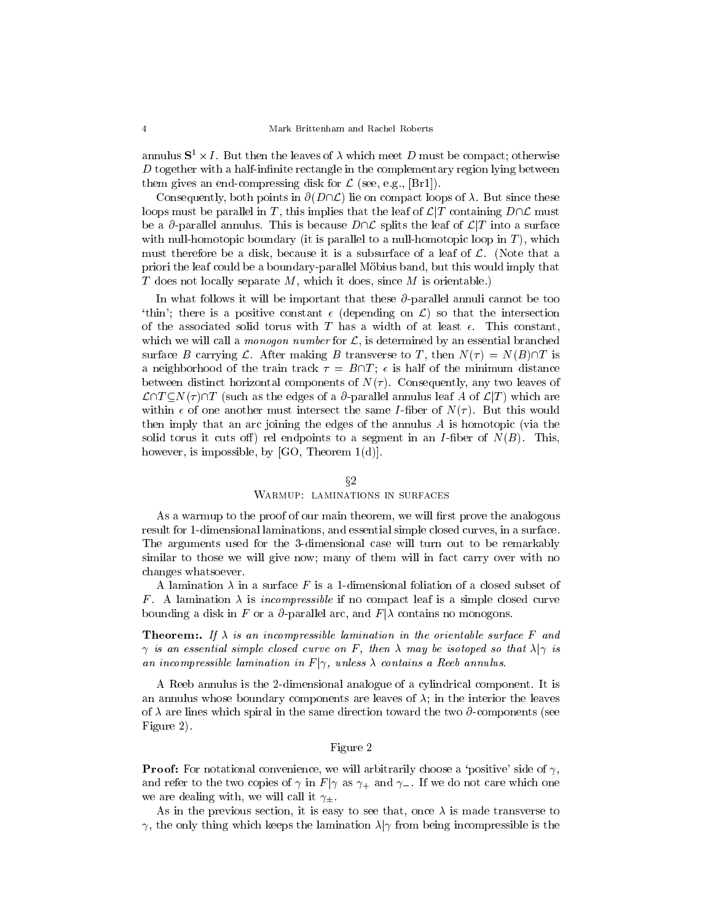annulus  $5^{\circ}$  x 1. Dut then the leaves of  $\lambda$  which meet  $D$  must be compact; otherwise  $D$  together with a half-infinite rectangle in the complementary region lying between them gives an end-compressing disk for  $\mathcal{L}$  (see, e.g., [Br1]).

Consequently, both points in  $\partial(D\cap\mathcal{L})$  lie on compact loops of  $\lambda$ . But since these loops must be parallel in T, this implies that the leaf of  $\mathcal{L}/T$  containing  $D\cap\mathcal{L}$  must be a  $\partial$ -parallel annulus. This is because  $D\cap\mathcal{L}$  splits the leaf of  $\mathcal{L}|T$  into a surface with null-homotopic boundary (it is parallel to a null-homotopic loop in  $T$ ), which must therefore be a disk, because it is a subsurface of a leaf of  $\mathcal{L}$ . (Note that a priori the leaf could be a boundary-parallel Mobius band, but this would imply that T does not locally separate  $M$ , which it does, since  $M$  is orientable.)

In what follows it will be important that these  $\partial$ -parallel annuli cannot be too 'thin'; there is a positive constant  $\epsilon$  (depending on  $\mathcal{L}$ ) so that the intersection of the associated solid torus with T has a width of at least  $\epsilon$ . This constant, which we will call a *monogon number* for  $\mathcal{L}$ , is determined by an essential branched surface B carrying L. After making B transverse to T, then  $N(\tau) = N(B)\cap T$  is a neighborhood of the train track  $\tau = B\cap T$ ;  $\epsilon$  is half of the minimum distance between distinct horizontal components of  $N(\tau)$ . Consequently, any two leaves of  $\mathcal{L}\cap T\subset N(\tau)\cap T$  (such as the edges of a  $\partial$ -parallel annulus leaf A of  $\mathcal{L}|T$ ) which are within  $\epsilon$  of one another must intersect the same *I*-fiber of  $N(\tau)$ . But this would then imply that an arc joining the edges of the annulus  $A$  is homotopic (via the solid torus it cuts of f) rel endpoints to a segment in an *I*-fiber of  $N(B)$ . This, however, is impossible, by  $[GO, Theorem 1(d)].$ 

#### $\S 2$

#### Warmup: laminations in surfaces

As a warmup to the proof of our main theorem, we will first prove the analogous result for 1-dimensional laminations, and essential simple closed curves, in a surface. The arguments used for the 3-dimensional case will turn out to be remarkably similar to those we will give now; many of them will in fact carry over with no changes whatsoever.

A lamination  $\lambda$  in a surface F is a 1-dimensional foliation of a closed subset of F. A lamination  $\lambda$  is incompressible if no compact leaf is a simple closed curve bounding a disk in F or a  $\partial$ -parallel arc, and  $F|\lambda$  contains no monogons.

**Theorem:.** If  $\lambda$  is an incompressible lamination in the orientable surface F and  $\gamma$  is an essential simple closed curve on F, then  $\lambda$  may be isotoped so that  $\lambda|\gamma$  is an incompressible lamination in F j , unless contains a Reeb annulus.

A Reeb annulus is the 2-dimensional analogue of a cylindrical component. It is an annulus whose boundary components are leaves of  $\lambda$ ; in the interior the leaves of  $\lambda$  are lines which spiral in the same direction toward the two  $\partial$ -components (see Figure 2).

### Figure 2

**Proof:** For notational convenience, we will arbitrarily choose a 'positive' side of  $\gamma$ , and refer to the two copies of  $\gamma$  in  $F|\gamma$  as  $\gamma_+$  and  $\gamma_-$ . If we do not care which one we are dealing with, we will call it  $\gamma_+$ .

As in the previous section, it is easy to see that, once  $\lambda$  is made transverse to  $\gamma$ , the only thing which keeps the lamination  $\lambda | \gamma$  from being incompressible is the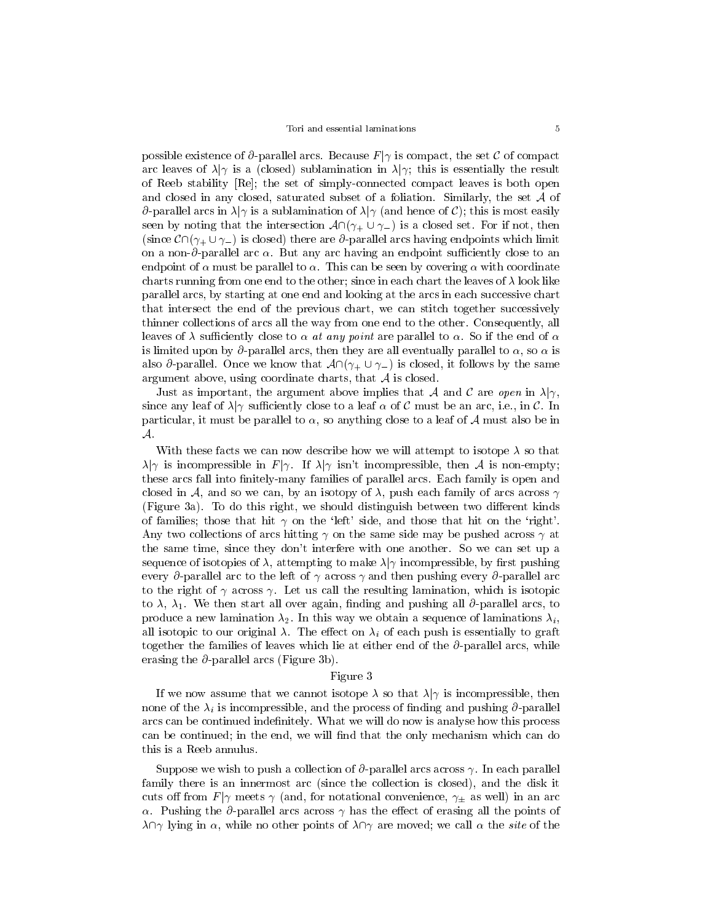possible existence of  $\partial$ -parallel arcs. Because  $F|\gamma$  is compact, the set C of compact arc leaves of  $\lambda|\gamma$  is a (closed) sublamination in  $\lambda|\gamma$ ; this is essentially the result of Reeb stability [Re]; the set of simply-connected compact leaves is both open and closed in any closed, saturated subset of <sup>a</sup> foliation. Similarly, the set A of  $\partial$ -parallel arcs in  $\lambda|\gamma$  is a sublamination of  $\lambda|\gamma$  (and hence of C); this is most easily seen by noting that the intersection  $\mathcal{A} \cap (\gamma_+ \cup \gamma_-)$  is a closed set. For if not, then (since  $\mathcal{C}\cap(\gamma_+\cup\gamma_-)$  is closed) there are  $\partial$ -parallel arcs having endpoints which limit on a non- $\partial$ -parallel arc  $\alpha$ . But any arc having an endpoint sufficiently close to an endpoint of  $\alpha$  must be parallel to  $\alpha$ . This can be seen by covering  $\alpha$  with coordinate charts running from one end to the other; since in each chart the leaves of  $\lambda$  look like parallel arcs, by starting at one end and looking at the arcs in each successive chart that intersect the end of the previous chart, we can stitch together successively thinner collections of arcs all the way from one end to the other. Consequently, all leaves of  $\lambda$  sufficiently close to  $\alpha$  at any point are parallel to  $\alpha$ . So if the end of  $\alpha$ is limited upon by  $\partial$ -parallel arcs, then they are all eventually parallel to  $\alpha$ , so  $\alpha$  is also  $\partial$ -parallel. Once we know that  $\mathcal{A}\cap(\gamma_+\cup\gamma_-)$  is closed, it follows by the same argument above, using coordinate charts, that  $A$  is closed.

Just as important, the argument above implies that A and C are open in  $\lambda | \gamma$ , since any leaf of  $\lambda$  sufficiently close to a leaf  $\alpha$  of C must be an arc, i.e., in C. In particular, it must be parallel to  $\alpha$ , so anything close to a leaf of A must also be in A.<br>With these facts we can now describe how we will attempt to isotope  $\lambda$  so that

 $\lambda|\gamma$  is incompressible in  $F|\gamma$ . If  $\lambda|\gamma$  isn't incompressible, then A is non-empty; these arcs fall into finitely-many families of parallel arcs. Each family is open and closed in A, and so we can, by an isotopy of  $\lambda$ , push each family of arcs across  $\gamma$ (Figure 3a). To do this right, we should distinguish between two different kinds of families; those that hit  $\gamma$  on the 'left' side, and those that hit on the 'right'. Any two collections of arcs hitting  $\gamma$  on the same side may be pushed across  $\gamma$  at the same time, since they don't interfere with one another. So we can set up a sequence of isotopies of  $\lambda$ , attempting to make  $\lambda$  *n* incompressible, by first pushing every  $\partial$ -parallel arc to the left of  $\gamma$  across  $\gamma$  and then pushing every  $\partial$ -parallel arc to the right of  $\gamma$  across  $\gamma$ . Let us call the resulting lamination, which is isotopic to  $\lambda$ ,  $\lambda_1$ . We then start all over again, finding and pushing all  $\partial$ -parallel arcs, to produce a new lamination  $\lambda_2$ . In this way we obtain a sequence of laminations  $\lambda_i$ , all isotopic to our original  $\lambda$ . The effect on  $\lambda_i$  of each push is essentially to graft together the families of leaves which lie at either end of the  $\partial$ -parallel arcs, while erasing the  $\partial$ -parallel arcs (Figure 3b).

#### Figure 3

If we now assume that we cannot isotope  $\lambda$  so that  $\lambda|\gamma$  is incompressible, then none of the  $\lambda_i$  is incompressible, and the process of finding and pushing  $\partial$ -parallel arcs can be continued indefinitely. What we will do now is analyse how this process can be continued; in the end, we will find that the only mechanism which can do this is a Reeb annulus.

Suppose we wish to push a collection of  $\partial$ -parallel arcs across  $\gamma$ . In each parallel family there is an innermost arc (since the collection is closed), and the disk it cuts off from  $F|\gamma$  meets  $\gamma$  (and, for notational convenience,  $\gamma_{\pm}$  as well) in an arc  $\alpha$ . Pushing the  $\partial$ -parallel arcs across  $\gamma$  has the effect of erasing all the points of  $\lambda \cap \gamma$  lying in  $\alpha$ , while no other points of  $\lambda \cap \gamma$  are moved; we call  $\alpha$  the *site* of the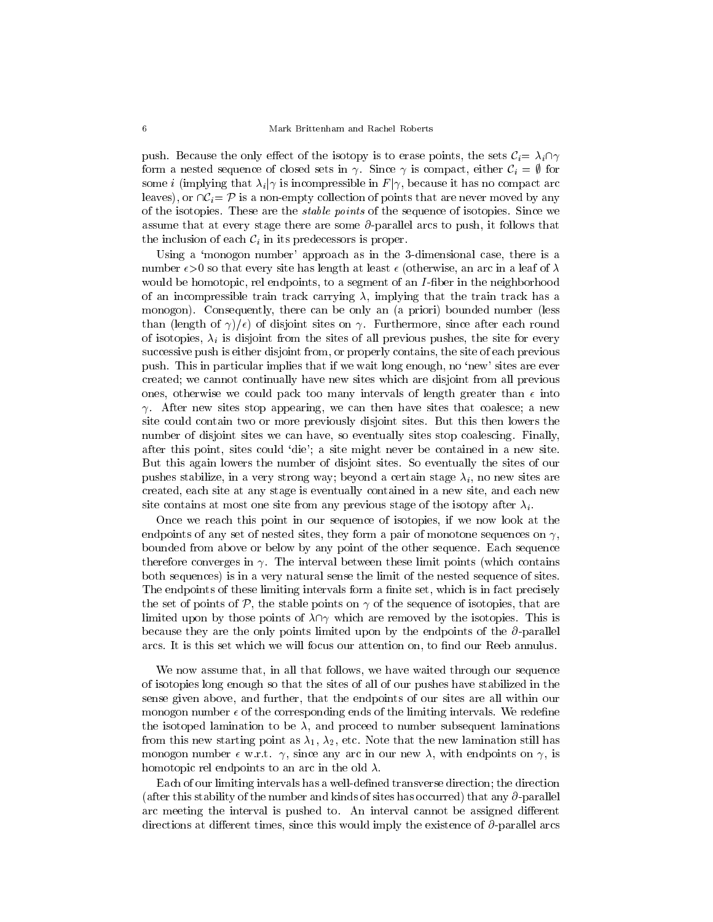push. Because the only effect of the isotopy is to erase points, the sets  $C_i = \lambda_i \cap \gamma$ form a nested sequence of closed sets in  $\gamma$ . Since  $\gamma$  is compact, either  $\mathcal{C}_i = \emptyset$  for some *i* (implying that  $\lambda_i | \gamma$  is incompressible in  $F | \gamma$ , because it has no compact arc leaves), or  $\cap \mathcal{C}_i = \mathcal{P}$  is a non-empty collection of points that are never moved by any of the isotopies. These are the stable points of the sequence of isotopies. Since we assume that at every stage there are some  $\partial$ -parallel arcs to push, it follows that the inclusion of each  $\mathcal{C}_i$  in its predecessors is proper.

Using a 'monogon number' approach as in the 3-dimensional case, there is a number  $\epsilon > 0$  so that every site has length at least  $\epsilon$  (otherwise, an arc in a leaf of  $\lambda$ would be homotopic, rel endpoints, to a segment of an I-fiber in the neighborhood of an incompressible train track carrying  $\lambda$ , implying that the train track has a monogon). Consequently, there can be only an (a priori) bounded number (less than (length of  $\gamma/\epsilon$ ) of disjoint sites on  $\gamma$ . Furthermore, since after each round of isotopies,  $\lambda_i$  is disjoint from the sites of all previous pushes, the site for every successive push is either disjoint from, or properly contains, the site of each previous push. This in particular implies that if we wait long enough, no `new' sites are ever created; we cannot continually have new sites which are disjoint from all previous ones, otherwise we could pack too many intervals of length greater than  $\epsilon$  into  $\gamma$ . After new sites stop appearing, we can then have sites that coalesce; a new site could contain two or more previously disjoint sites. But this then lowers the number of disjoint sites we can have, so eventually sites stop coalescing. Finally, after this point, sites could `die'; a site might never be contained in a new site. But this again lowers the number of disjoint sites. So eventually the sites of our pushes stabilize, in a very strong way; beyond a certain stage  $\lambda_i$ , no new sites are created, each site at any stage is eventually contained in a new site, and each new site contains at most one site from any previous stage of the isotopy after  $\lambda_i$ .

Once we reach this point in our sequence of isotopies, if we now look at the endpoints of any set of nested sites, they form a pair of monotone sequences on  $\gamma$ , bounded from above or below by any point of the other sequence. Each sequence therefore converges in  $\gamma$ . The interval between these limit points (which contains both sequences) is in a very natural sense the limit of the nested sequence of sites. The endpoints of these limiting intervals form a finite set, which is in fact precisely the set of points of  $\mathcal{P}$ , the stable points on  $\gamma$  of the sequence of isotopies, that are limited upon by those points of  $\lambda \cap \gamma$  which are removed by the isotopies. This is because they are the only points limited upon by the endpoints of the @-parallel arcs. It is this set which we will focus our attention on, to find our Reeb annulus.

We now assume that, in all that follows, we have waited through our sequence of isotopies long enough so that the sites of all of our pushes have stabilized in the sense given above, and further, that the endpoints of our sites are all within our monogon number  $\epsilon$  of the corresponding ends of the limiting intervals. We redefine the isotoped lamination to be  $\lambda$ , and proceed to number subsequent laminations from this new starting point as  $\lambda_1, \lambda_2$ , etc. Note that the new lamination still has monogon number  $\epsilon$  w.r.t.  $\gamma$ , since any arc in our new  $\lambda$ , with endpoints on  $\gamma$ , is homotopic rel endpoints to an arc in the old  $\lambda$ .

Each of our limiting intervals has a well-defined transverse direction; the direction (after this stability of the number and kinds of sites has occurred) that any  $\partial$ -parallel arc meeting the interval is pushed to. An interval cannot be assigned different directions at different times, since this would imply the existence of  $\partial$ -parallel arcs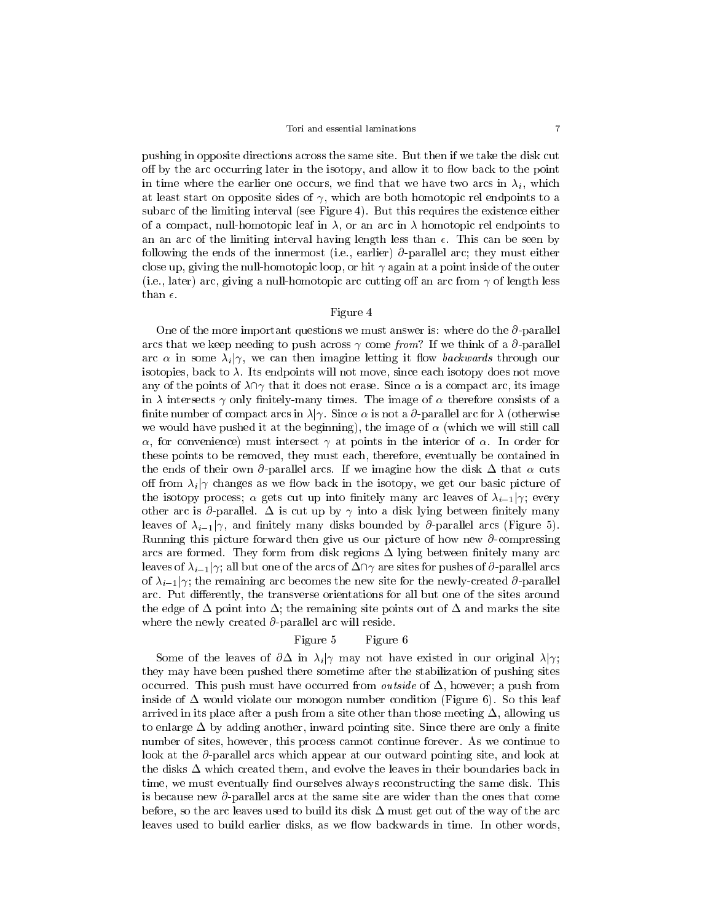pushing in opposite directions across the same site. But then if we take the disk cut off by the arc occurring later in the isotopy, and allow it to flow back to the point in time where the earlier one occurs, we find that we have two arcs in  $\lambda_i$ , which at least start on opposite sides of  $\gamma$ , which are both homotopic rel endpoints to a subarc of the limiting interval (see Figure 4). But this requires the existence either of a compact, null-homotopic leaf in  $\lambda$ , or an arc in  $\lambda$  homotopic rel endpoints to an an arc of the limiting interval having length less than  $\epsilon$ . This can be seen by following the ends of the innermost (i.e., earlier)  $\partial$ -parallel arc; they must either close up, giving the null-homotopic loop, or hit  $\gamma$  again at a point inside of the outer (i.e., later) arc, giving a null-homotopic arc cutting off an arc from  $\gamma$  of length less than  $\epsilon$ .

# Figure 4

One of the more important questions we must answer is: where do the  $\partial$ -parallel arcs that we keep needing to push across  $\gamma$  come from? If we think of a  $\partial$ -parallel arc  $\alpha$  in some  $\lambda_i | \gamma$ , we can then imagine letting it flow *backwards* through our isotopies, back to  $\lambda$ . Its endpoints will not move, since each isotopy does not move any of the points of  $\lambda \cap \gamma$  that it does not erase. Since  $\alpha$  is a compact arc, its image in  $\lambda$  intersects  $\gamma$  only finitely-many times. The image of  $\alpha$  therefore consists of a finite number of compact arcs in  $\lambda|\gamma$ . Since  $\alpha$  is not a  $\partial$ -parallel arc for  $\lambda$  (otherwise we would have pushed it at the beginning), the image of  $\alpha$  (which we will still call  $\alpha$ , for convenience) must intersect  $\gamma$  at points in the interior of  $\alpha$ . In order for these points to be removed, they must each, therefore, eventually be contained in the ends of their own  $\partial$ -parallel arcs. If we imagine how the disk  $\Delta$  that  $\alpha$  cuts off from  $\lambda_i$  changes as we flow back in the isotopy, we get our basic picture of the isotopy process;  $\alpha$  gets cut up into finitely many arc leaves of  $\lambda_{i-1}|\gamma$ ; every other arc is  $\partial$ -parallel.  $\Delta$  is cut up by  $\gamma$  into a disk lying between finitely many leaves of  $\lambda_{i-1}|\gamma$ , and finitely many disks bounded by  $\partial$ -parallel arcs (Figure 5). Running this picture forward then give us our picture of how new  $\partial$ -compressing arcs are formed. They form from disk regions  $\Delta$  lying between finitely many arc leaves of  $\lambda_{i-1}$  | $\gamma$ ; all but one of the arcs of  $\Delta \cap \gamma$  are sites for pushes of  $\partial$ -parallel arcs of  $\lambda_{i-1}$ / $\gamma$ ; the remaining arc becomes the new site for the newly-created  $\partial$ -parallel arc. Put differently, the transverse orientations for all but one of the sites around the edge of  $\Delta$  point into  $\Delta$ ; the remaining site points out of  $\Delta$  and marks the site where the newly created  $\partial$ -parallel arc will reside.

# Figure 5 Figure 6

Some of the leaves of  $\partial \Delta$  in  $\lambda_i | \gamma$  may not have existed in our original  $\lambda | \gamma$ ; they may have been pushed there sometime after the stabilization of pushing sites occurred. This push must have occurred from *outside* of  $\Delta$ , however; a push from inside of  $\Delta$  would violate our monogon number condition (Figure 6). So this leaf arrived in its place after a push from a site other than those meeting  $\Delta$ , allowing us to enlarge  $\Delta$  by adding another, inward pointing site. Since there are only a finite number of sites, however, this process cannot continue forever. As we continue to look at the  $\partial$ -parallel arcs which appear at our outward pointing site, and look at the disks  $\Delta$  which created them, and evolve the leaves in their boundaries back in time, we must eventually find ourselves always reconstructing the same disk. This is because new  $\partial$ -parallel arcs at the same site are wider than the ones that come before, so the arc leaves used to build its disk  $\Delta$  must get out of the way of the arc leaves used to build earlier disks, as we flow backwards in time. In other words,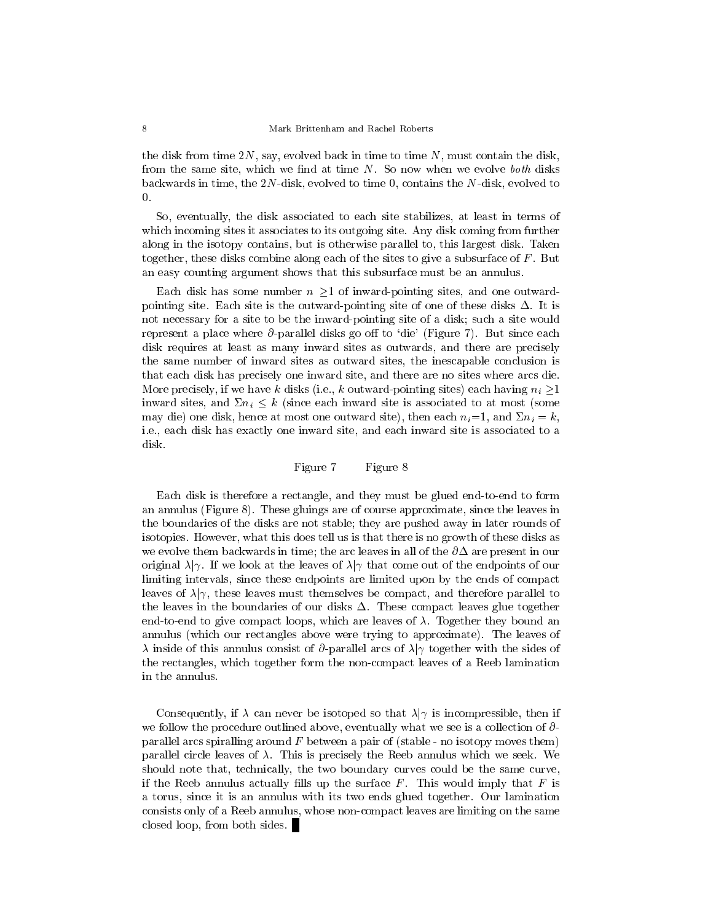the disk from time  $2N$ , say, evolved back in time to time N, must contain the disk, from the same site, which we find at time  $N$ . So now when we evolve *both* disks backwards in time, the 2N-disk, evolved to time 0, contains the N-disk, evolved to  $\Omega$ .

So, eventually, the disk associated to each site stabilizes, at least in terms of which incoming sites it associates to its outgoing site. Any disk coming from further along in the isotopy contains, but is otherwise parallel to, this largest disk. Taken together, these disks combine along each of the sites to give a subsurface of  $F$ . But an easy counting argument shows that this subsurface must be an annulus.

Each disk has some number  $n > 1$  of inward-pointing sites, and one outwardpointing site. Each site is the outward-pointing site of one of these disks  $\Delta$ . It is not necessary for a site to be the inward-pointing site of a disk; such a site would represent a place where  $\partial$ -parallel disks go off to 'die' (Figure 7). But since each disk requires at least as many inward sites as outwards, and there are precisely the same number of inward sites as outward sites, the inescapable conclusion is that each disk has precisely one inward site, and there are no sites where arcs die. More precisely, if we have k disks (i.e., k outward-pointing sites) each having  $n_i \geq 1$ inward sites, and  $\Sigma n_i \leq k$  (since each inward site is associated to at most (some may die) one disk, hence at most one outward site), then each  $n_i=1$ , and  $\Sigma n_i = k$ , i.e., each disk has exactly one inward site, and each inward site is associated to a disk.

Figure 7 Figure 8

Each disk is therefore a rectangle, and they must be glued end-to-end to form an annulus (Figure 8). These gluings are of course approximate, since the leaves in the boundaries of the disks are not stable; they are pushed away in later rounds of isotopies. However, what this does tell us is that there is no growth of these disks as we evolve them backwards in time; the arc leaves in all of the  $\partial\Delta$  are present in our original  $\lambda | \gamma$ . If we look at the leaves of  $\lambda | \gamma$  that come out of the endpoints of our limiting intervals, since these endpoints are limited upon by the ends of compact leaves of  $\lambda | \gamma$ , these leaves must themselves be compact, and therefore parallel to the leaves in the boundaries of our disks  $\Delta$ . These compact leaves glue together end-to-end to give compact loops, which are leaves of  $\lambda$ . Together they bound an annulus (which our rectangles above were trying to approximate). The leaves of  $\lambda$  inside of this annulus consist of  $\partial$ -parallel arcs of  $\lambda$  ogether with the sides of the rectangles, which together form the non-compact leaves of a Reeb lamination in the annulus.

Consequently, if  $\lambda$  can never be isotoped so that  $\lambda|\gamma$  is incompressible, then if we follow the procedure outlined above, eventually what we see is a collection of  $\partial$ parallel arcs spiralling around  $F$  between a pair of (stable - no isotopy moves them) parallel circle leaves of  $\lambda$ . This is precisely the Reeb annulus which we seek. We should note that, technically, the two boundary curves could be the same curve, if the Reeb annulus actually fills up the surface  $F$ . This would imply that  $F$  is a torus, since it is an annulus with its two ends glued together. Our lamination consists only of a Reeb annulus, whose non-compact leaves are limiting on the same closed loop, from both sides.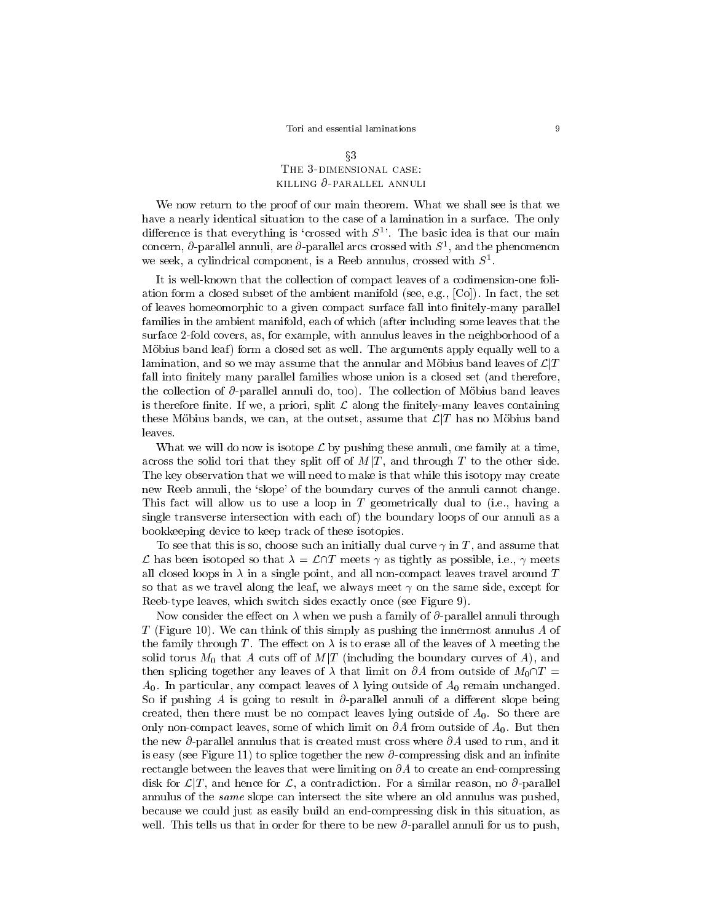# $\S 3$ The 3-dimensional case:killing @-parallel annuli

We now return to the proof of our main theorem. What we shall see is that we have a nearly identical situation to the case of a lamination in a surface. The only difference is that everything is 'crossed with  $S<sup>1</sup>$ . The basic idea is that our main concern,  $\sigma$ -parallel annuli, are  $\sigma$ -parallel arcs crossed with  $\sigma$  , and the phenomenon we seek, a cylindrical component, is a Reeb annulus, crossed with  $S<sup>1</sup>$ .

It is well-known that the collection of compact leaves of a codimension-one foliation form a closed subset of the ambient manifold (see, e.g., [Co]). In fact, the set of leaves homeomorphic to a given compact surface fall into finitely-many parallel families in the ambient manifold, each of which (after including some leaves that the surface 2-fold covers, as, for example, with annulus leaves in the neighborhood of a Möbius band leaf) form a closed set as well. The arguments apply equally well to a lamination, and so we may assume that the annular and Möbius band leaves of  $\mathcal{L}|T$ fall into finitely many parallel families whose union is a closed set (and therefore, the collection of  $\partial$ -parallel annuli do, too). The collection of Möbius band leaves is therefore finite. If we, a priori, split  $\mathcal L$  along the finitely-many leaves containing these Möbius bands, we can, at the outset, assume that  $\mathcal{L}(T)$  has no Möbius band leaves.

What we will do now is isotope  $\mathcal L$  by pushing these annuli, one family at a time, across the solid tori that they split off of  $M|T$ , and through T to the other side. The key observation that we will need to make is that while this isotopy may create new Reeb annuli, the `slope' of the boundary curves of the annuli cannot change. This fact will allow us to use a loop in T geometrically dual to (i.e., having a single transverse intersection with each of) the boundary loops of our annuli as a bookkeeping device to keep track of these isotopies.

To see that this is so, choose such an initially dual curve  $\gamma$  in T, and assume that L has been isotoped so that  $\lambda = \mathcal{L}\cap T$  meets  $\gamma$  as tightly as possible, i.e.,  $\gamma$  meets all closed loops in  $\lambda$  in a single point, and all non-compact leaves travel around T so that as we travel along the leaf, we always meet  $\gamma$  on the same side, except for Reeb-type leaves, which switch sides exactly once (see Figure 9).

Now consider the effect on  $\lambda$  when we push a family of  $\partial$ -parallel annuli through T (Figure 10). We can think of this simply as pushing the innermost annulus A of the family through T. The effect on  $\lambda$  is to erase all of the leaves of  $\lambda$  meeting the solid torus  $M_0$  that A cuts off of  $M/T$  (including the boundary curves of A), and then splicing together any leaves of  $\lambda$  that limit on  $\partial A$  from outside of  $M_0\cap T =$  $A_0$ . In particular, any compact leaves of  $\lambda$  lying outside of  $A_0$  remain unchanged. So if pushing A is going to result in  $\partial$ -parallel annuli of a different slope being created, then there must be no compact leaves lying outside of  $A_0$ . So there are only non-compact leaves, some of which limit on  $\partial A$  from outside of  $A_0$ . But then the new  $\partial$ -parallel annulus that is created must cross where  $\partial A$  used to run, and it is easy (see Figure 11) to splice together the new  $\partial$ -compressing disk and an infinite rectangle between the leaves that were limiting on  $\partial A$  to create an end-compressing disk for  $\mathcal{L}(T)$ , and hence for  $\mathcal{L}$ , a contradiction. For a similar reason, no  $\partial$ -parallel annulus of the same slope can intersect the site where an old annulus was pushed, because we could just as easily build an end-compressing disk in this situation, as well. This tells us that in order for there to be new  $\partial$ -parallel annuli for us to push,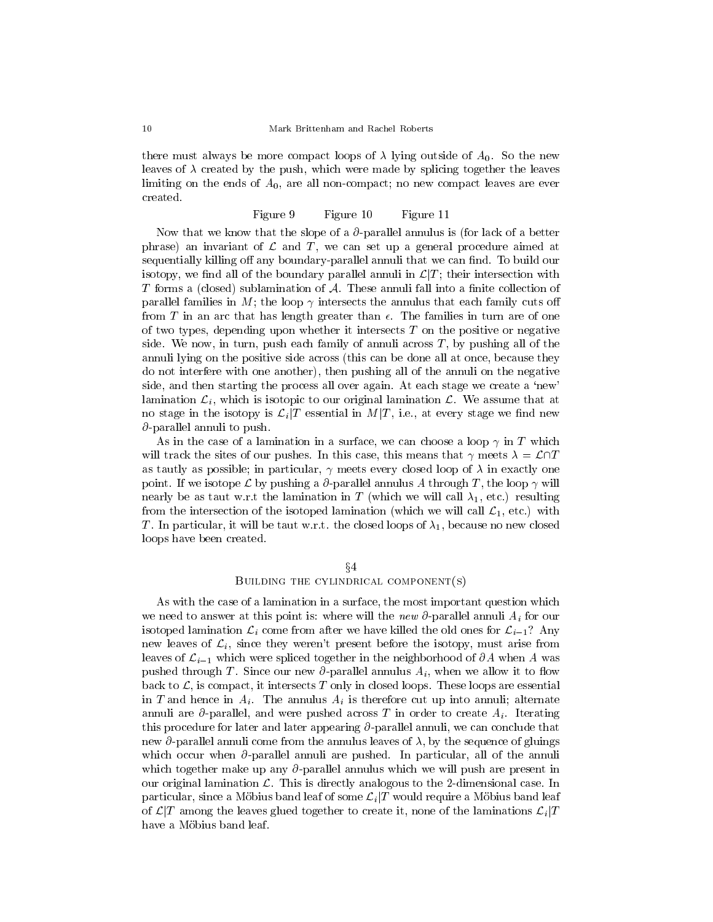there must always be more compact loops of  $\lambda$  lying outside of  $A_0$ . So the new leaves of  $\lambda$  created by the push, which were made by splicing together the leaves limiting on the ends of  $A_0$ , are all non-compact; no new compact leaves are ever created.

#### Figure 9 Figure 10 Figure 11

Now that we know that the slope of a  $\partial$ -parallel annulus is (for lack of a better phrase) an invariant of  $\mathcal L$  and  $T$ , we can set up a general procedure aimed at sequentially killing off any boundary-parallel annuli that we can find. To build our isotopy, we find all of the boundary parallel annuli in  $\mathcal{L}|T$ ; their intersection with T forms a (closed) sublamination of  $A$ . These annuli fall into a finite collection of parallel families in M; the loop  $\gamma$  intersects the annulus that each family cuts off from T in an arc that has length greater than  $\epsilon$ . The families in turn are of one of two types, depending upon whether it intersects  $T$  on the positive or negative side. We now, in turn, push each family of annuli across  $T$ , by pushing all of the annuli lying on the positive side across (this can be done all at once, because they do not interfere with one another), then pushing all of the annuli on the negative side, and then starting the process all over again. At each stage we create a 'new' lamination  $\mathcal{L}_i$ , which is isotopic to our original lamination  $\mathcal{L}$ . We assume that at no stage in the isotopy is  $\mathcal{L}_i/T$  essential in  $M/T$ , i.e., at every stage we find new  $\partial$ -parallel annuli to push.

As in the case of a lamination in a surface, we can choose a loop  $\gamma$  in T which will track the sites of our pushes. In this case, this means that  $\gamma$  meets  $\lambda = \mathcal{L}\cap T$ as tautly as possible; in particular,  $\gamma$  meets every closed loop of  $\lambda$  in exactly one point. If we isotope L by pushing a  $\partial$ -parallel annulus A through T, the loop  $\gamma$  will nearly be as taut w.r.t the lamination in T (which we will call  $\lambda_1$ , etc.) resulting from the intersection of the isotoped lamination (which we will call  $\mathcal{L}_1$ , etc.) with T. In particular, it will be taut w.r.t. the closed loops of  $\lambda_1$ , because no new closed loops have been created.

#### $\S4$

# Building the cylindrical component(s)

As with the case of a lamination in a surface, the most important question which we need to answer at this point is: where will the new  $\partial$ -parallel annuli  $A_i$  for our isotoped lamination  $\mathcal{L}_i$  come from after we have killed the old ones for  $\mathcal{L}_{i-1}$ ? Any new leaves of  $\mathcal{L}_i$ , since they weren't present before the isotopy, must arise from leaves of  $\mathcal{L}_{i-1}$  which were spliced together in the neighborhood of  $\partial A$  when A was pushed through T. Since our new  $\partial$ -parallel annulus  $A_i$ , when we allow it to flow back to  $\mathcal{L}$ , is compact, it intersects T only in closed loops. These loops are essential in T and hence in  $A_i$ . The annulus  $A_i$  is therefore cut up into annuli; alternate annuli are  $\partial$ -parallel, and were pushed across T in order to create  $A_i$ . Iterating this procedure for later and later appearing  $\partial$ -parallel annuli, we can conclude that new  $\partial$ -parallel annuli come from the annulus leaves of  $\lambda$ , by the sequence of gluings which occur when  $\partial$ -parallel annuli are pushed. In particular, all of the annuli which together make up any  $\partial$ -parallel annulus which we will push are present in our original lamination  $\mathcal{L}$ . This is directly analogous to the 2-dimensional case. In particular, since a Möbius band leaf of some  $\mathcal{L}_i/T$  would require a Möbius band leaf of  $\mathcal{L}$  among the leaves glued together to create it, none of the laminations  $\mathcal{L}_i$   $T$ have a Möbius band leaf.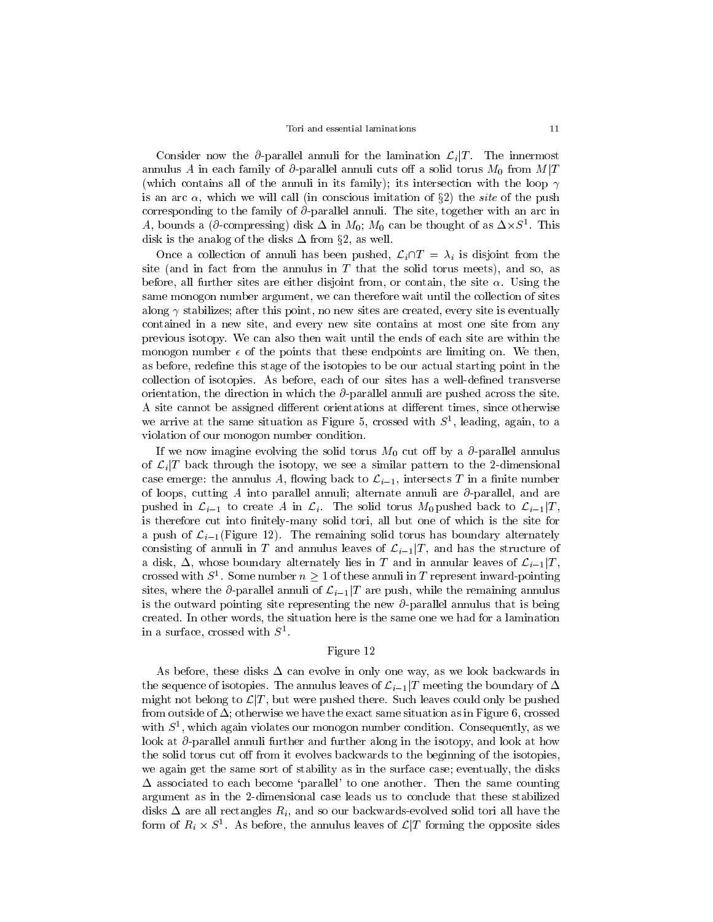Consider now the  $\partial$ -parallel annuli for the lamination  $\mathcal{L}_i/T$ . The innermost annulus A in each family of  $\partial$ -parallel annuli cuts off a solid torus  $M_0$  from  $M|T$ (which contains all of the annuli in its family); its intersection with the loop  $\gamma$ is an arc  $\alpha$ , which we will call (in conscious imitation of §2) the *site* of the push corresponding to the family of  $\partial$ -parallel annuli. The site, together with an arc in A, bounds a (*o*-compressing) disk  $\Delta$  in  $M_0$ ;  $M_0$  can be thought of as  $\Delta \times S^+$ . This disk is the analog of the disks  $\Delta$  from §2, as well.

Once a collection of annuli has been pushed,  $\mathcal{L}_i\cap T = \lambda_i$  is disjoint from the site (and in fact from the annulus in  $T$  that the solid torus meets), and so, as before, all further sites are either disjoint from, or contain, the site  $\alpha$ . Using the same monogon number argument, we can therefore wait until the collection of sites along  $\gamma$  stabilizes; after this point, no new sites are created, every site is eventually contained in a new site, and every new sitecontains at most one site from any previous isotopy. We can also then wait until the ends of each site are within the monogon number  $\epsilon$  of the points that these endpoints are limiting on. We then, as before, redefine this stage of the isotopies to be our actual starting point in the collection of isotopies. As before, each of our sites has a well-dened transverse orientation, the direction in which the  $\partial$ -parallel annuli are pushed across the site. A site cannot be assigned different orientations at different times, since otherwise we arrive at the same situation as Figure 5, crossed with 5<sup>-</sup>, leading, again, to a violation of our monogon number condition.

If we now imagine evolving the solid torus  $M_0$  cut off by a  $\partial$ -parallel annulus of  $\mathcal{L}_i/T$  back through the isotopy, we see a similar pattern to the 2-dimensional case emerge: the annulus A, flowing back to  $\mathcal{L}_{i-1}$ , intersects T in a finite number of loops, cutting A into parallel annuli; alternate annuli are  $\partial$ -parallel, and are pushed in  $\mathcal{L}_{i-1}$  to create A in  $\mathcal{L}_i$ . The solid torus  $M_0$  pushed back to  $\mathcal{L}_{i-1}|T$ , is therefore cut into finitely-many solid tori, all but one of which is the site for a push of  $\mathcal{L}_{i-1}$ (Figure 12). The remaining solid torus has boundary alternately consisting of annuli in T and annulus leaves of  $\mathcal{L}_{i-1}|T$ , and has the structure of a disk,  $\Delta$ , whose boundary alternately lies in T and in annular leaves of  $\mathcal{L}_{i-1}|T$ , crossed with  $S^1$ . Some number  $n \geq 1$  of these annuli in T represent inward-pointing sites, where the  $\partial$ -parallel annuli of  $\mathcal{L}_{i-1}|T$  are push, while the remaining annulus is the outward pointing site representing the new  $\partial$ -parallel annulus that is being created. In other words, the situation here is the same one we had for a lamination in a surface, crossed with  $S<sup>1</sup>$ .

### Figure 12

As before, these disks  $\Delta$  can evolve in only one way, as we look backwards in the sequence of isotopies. The annulus leaves of  $\mathcal{L}_{i-1}|T$  meeting the boundary of  $\Delta$ might not belong to  $\mathcal{L}(T)$ , but were pushed there. Such leaves could only be pushed from outside of  $\Delta$ ; otherwise we have the exact same situation as in Figure 6, crossed with  $S$  , which again violates our monogon number condition. Consequently, as we  $\overline{S}$ look at  $\partial$ -parallel annuli further and further along in the isotopy, and look at how the solid torus cut off from it evolves backwards to the beginning of the isotopies, we again get the same sort of stability as in the surface case; eventually, the disks  $\Delta$  associated to each become 'parallel' to one another. Then the same counting argument as in the 2-dimensional case leads us to conclude that these stabilized disks  $\Delta$  are all rectangles  $R_i$ , and so our backwards-evolved solid tori all have the form of  $R_i \times S$  . As before, the annulus leaves of  $\mathcal{L} | I$  forming the opposite sides